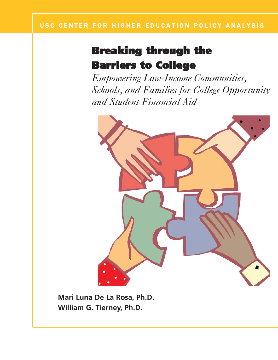## Breaking through the Barriers to College

*Empowering Low-Income Communities, Schools, and Families for College Opportunity and Student Financial Aid*



**Mari Luna De La Rosa, Ph.D. William G. Tierney, Ph.D.**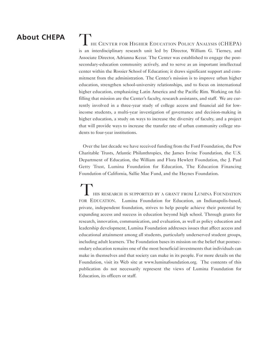## **About CHEPA**

#### HE CENTER FOR HIGHER EDUCATION POLICY ANALYSIS (CHEPA)

is an interdisciplinary research unit led by Director, William G. Tierney, and Associate Director, Adrianna Kezar. The Center was established to engage the postsecondary-education community actively, and to serve as an important intellectual center within the Rossier School of Education; it draws significant support and commitment from the administration. The Center's mission is to improve urban higher education, strengthen school-university relationships, and to focus on international higher education, emphasizing Latin America and the Pacific Rim. Working on fulfilling that mission are the Center's faculty, research assistants, and staff. We are currently involved in a three-year study of college access and financial aid for lowincome students, a multi-year investigation of governance and decision-making in higher education, a study on ways to increase the diversity of faculty, and a project that will provide ways to increase the transfer rate of urban community college students to four-year institutions.

Over the last decade we have received funding from the Ford Foundation, the Pew Charitable Trusts, Atlantic Philanthropies, the James Irvine Foundation, the U.S. Department of Education, the William and Flora Hewlett Foundation, the J. Paul Getty Trust, Lumina Foundation for Education, The Education Financing Foundation of California, Sallie Mae Fund, and the Haynes Foundation.

HIS RESEARCH IS SUPPORTED BY A GRANT FROM LUMINA FOUNDATION FOR EDUCATION. Lumina Foundation for Education, an Indianapolis-based, private, independent foundation, strives to help people achieve their potential by expanding access and success in education beyond high school. Through grants for research, innovation, communication, and evaluation, as well as policy education and leadership development, Lumina Foundation addresses issues that affect access and educational attainment among all students, particularly underserved student groups, including adult learners. The Foundation bases its mission on the belief that postsecondary education remains one of the most beneficial investments that individuals can make in themselves and that society can make in its people. For more details on the Foundation, visit its Web site at www.luminafoundation.org. The contents of this publication do not necessarily represent the views of Lumina Foundation for Education, its officers or staff.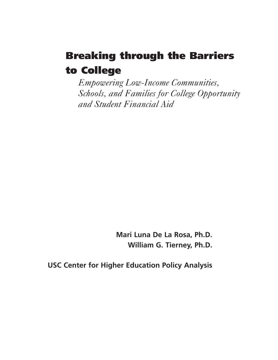## Breaking through the Barriers to College

*Empowering Low-Income Communities, Schools, and Families for College Opportunity and Student Financial Aid*

> **Mari Luna De La Rosa, Ph.D. William G. Tierney, Ph.D.**

**USC Center for Higher Education Policy Analysis**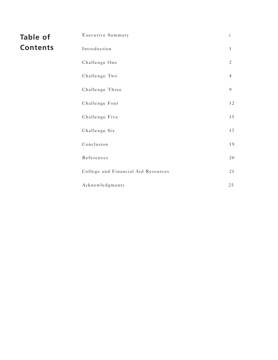| <b>Table of</b> | Executive Summary                   | $\rm i$        |
|-----------------|-------------------------------------|----------------|
| <b>Contents</b> | Introduction                        | $\mathbf{1}$   |
|                 | Challenge One                       | $\mathfrak{2}$ |
|                 | Challenge Two                       | $\overline{4}$ |
|                 | Challenge Three                     | 9              |
|                 | Challenge Four                      | $1\,2$         |
|                 | Challenge Five                      | 15             |
|                 | Challenge Six                       | 17             |
|                 | Conclusion                          | 19             |
|                 | References                          | 20             |
|                 | College and Financial Aid Resources | 21             |
|                 | Acknowledgments                     | 25             |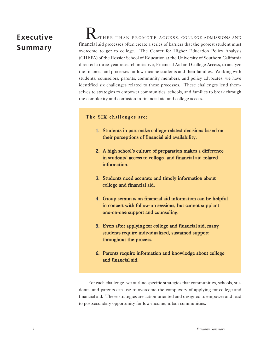## **Executive Summary**

ATHER THAN PROMOTE ACCESS, COLLEGE ADMISSIONS AND financial aid processes often create a series of barriers that the poorest student must overcome to get to college. The Center for Higher Education Policy Analysis (CHEPA) of the Rossier School of Education at the University of Southern California directed a three-year research initiative, Financial Aid and College Access, to analyze the financial aid processes for low-income students and their families. Working with students, counselors, parents, community members, and policy advocates, we have identified six challenges related to these processes. These challenges lend themselves to strategies to empower communities, schools, and families to break through the complexity and confusion in financial aid and college access.

#### The SIX challenges are:

- 1. Students in part make college-related decisions based on their perceptions of financial aid availability.
- 2. A high school's culture of preparation makes a difference in students' access to college- and financial aid-related information.
- 3. Students need accurate and timely information about college and financial aid.
- 4. Group seminars on financial aid information can be helpful in concert with follow-up sessions, but cannot supplant one-on-one support and counseling.
- 5. Even after applying for college and financial aid, many students require individualized, sustained support throughout the process.
- 6. Parents require information and knowledge about college and financial aid.

For each challenge, we outline specific strategies that communities, schools, students, and parents can use to overcome the complexity of applying for college and financial aid. These strategies are action-oriented and designed to empower and lead to postsecondary opportunity for low-income, urban communities.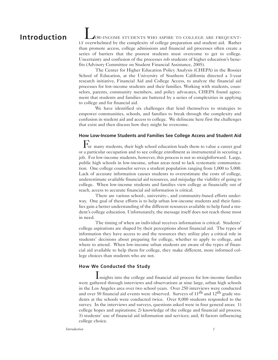### **Introduction**

OW-INCOME STUDENTS WHO ASPIRE TO COLLEGE ARE FREQUENT-LY overwhelmed by the complexity of college preparation and student aid. Rather than promote access, college admissions and financial aid processes often create a series of barriers that the poorest students must overcome to get to college. Uncertainty and confusion of the processes rob students of higher education's benefits (Advisory Committee on Student Financial Assistance, 2005).

The Center for Higher Education Policy Analysis (CHEPA) in the Rossier School of Education, at the University of Southern California directed a 3-year research initiative, Financial Aid and College Access, to analyze the financial aid processes for low-income students and their families. Working with students, counselors, parents, community members, and policy advocates, CHEPA found agreement that students and families are battered by a series of complexities in applying to college and for financial aid.

We have identified six challenges that lend themselves to strategies to empower communities, schools, and families to break through the complexity and confusion in student aid and access to college. We delineate here first the challenges that exist and then discuss how they might be overcome.

## **How Low-Income Students and Families See College Access and Student Aid**

For many students, their high school education leads them to value a career goal or a particular occupation and to see college enrollment as instrumental in securing a job. For low-income students, however, this process is not so straightforward. Large, public high schools in low-income, urban areas tend to lack systematic communication. One college counselor serves a student population ranging from 1,000 to 5,000. Lack of accurate information causes students to overestimate the costs of college, underestimate available financial aid resources, and misjudge the viability of going to college. When low-income students and families view college as financially out of reach, access to accurate financial aid information is critical.

There are various school-, university-, and community-based efforts underway. One goal of these efforts is to help urban low-income students and their families gain a better understanding of the different resources available to help fund a student's college education. Unfortunately, the message itself does not reach those most in need.

The timing of when an individual receives information is critical. Students' college aspirations are shaped by their perceptions about financial aid. The types of information they have access to and the resources they utilize play a critical role in students' decisions about preparing for college, whether to apply to college, and where to attend. When low-income urban students are aware of the types of financial aid available to help them for college, they make different, more informed college choices than students who are not.

#### **How We Conducted the Study**

Insights into the college and financial aid process for low-income families were gathered through interviews and observations at nine large, urban high schools in the Los Angeles area over two school years. Over 250 interviews were conducted and over 50 financial aid events were observed. Surveys of  $11<sup>th</sup>$  and  $12<sup>th</sup>$  grade students at the schools were conducted twice. Over 8,000 students responded to the survey. In the interviews and surveys, questions asked were in four general areas: 1) college hopes and aspirations; 2) knowledge of the college and financial aid process; 3) students' use of financial aid information and services; and, 4) factors influencing college choice.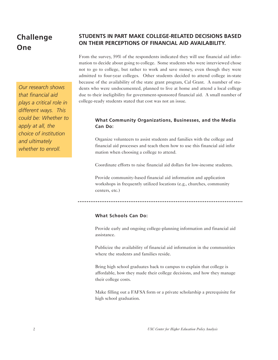## **Challenge One**

*Our research shows that financial aid plays a critical role in different ways. This could be: Whether to apply at all, the choice of institution and ultimately whether to enroll.*

#### **STUDENTS IN PART MAKE COLLEGE-RELATED DECISIONS BASED ON THEIR PERCEPTIONS OF FINANCIAL AID AVAILABILITY.**

From the survey, 59% of the respondents indicated they will use financial aid information to decide about going to college. Some students who were interviewed chose not to go to college, but rather to work and save money, even though they were admitted to four-year colleges. Other students decided to attend college in-state because of the availability of the state grant program, Cal Grant. A number of students who were undocumented, planned to live at home and attend a local college due to their ineligibility for government-sponsored financial aid. A small number of college-ready students stated that cost was not an issue.

#### **What Community Organizations, Businesses, and the Media Can Do:**

Organize volunteers to assist students and families with the college and financial aid processes and teach them how to use this financial aid infor mation when choosing a college to attend.

Coordinate efforts to raise financial aid dollars for low-income students.

Provide community-based financial aid information and application workshops in frequently utilized locations (e.g., churches, community centers, etc.)

#### 

#### **What Schools Can Do:**

Provide early and ongoing college-planning information and financial aid assistance.

Publicize the availability of financial aid information in the communities where the students and families reside.

Bring high school graduates back to campus to explain that college is affordable, how they made their college decisions, and how they manage their college costs.

Make filling out a FAFSA form or a private scholarship a prerequisite for high school graduation.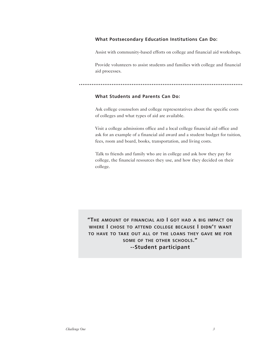#### **What Postsecondary Education Institutions Can Do:**

Assist with community-based efforts on college and financial aid workshops.

Provide volunteers to assist students and families with college and financial aid processes.

#### **What Students and Parents Can Do:**

Ask college counselors and college representatives about the specific costs of colleges and what types of aid are available.

Visit a college admissions office and a local college financial aid office and ask for an example of a financial aid award and a student budget for tuition, fees, room and board, books, transportation, and living costs.

Talk to friends and family who are in college and ask how they pay for college, the financial resources they use, and how they decided on their college.

**"THE AMOUNT OF FINANCIAL AID I GOT HAD A BIG IMPACT ON WHERE I CHOSE TO ATTEND COLLEGE BECAUSE I DIDN'T WANT TO HAVE TO TAKE OUT ALL OF THE LOANS THEY GAVE ME FOR SOME OF THE OTHER SCHOOLS." --Student participant**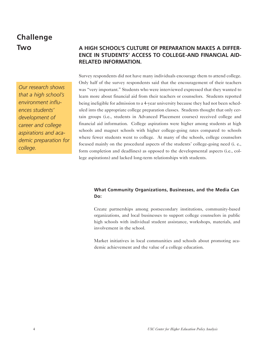## **Challenge Two**

*development of career and college aspirations and academic preparation for*

*college.* 

## *Our research shows that a high school's environment influences students'*

**RELATED INFORMATION.**

Survey respondents did not have many individuals encourage them to attend college. Only half of the survey respondents said that the encouragement of their teachers was "very important." Students who were interviewed expressed that they wanted to learn more about financial aid from their teachers or counselors. Students reported being ineligible for admission to a 4-year university because they had not been scheduled into the appropriate college preparation classes. Students thought that only certain groups (i.e., students in Advanced Placement courses) received college and financial aid information. College aspirations were higher among students at high schools and magnet schools with higher college-going rates compared to schools where fewer students went to college. At many of the schools, college counselors focused mainly on the procedural aspects of the students' college-going need (i. e., form completion and deadlines) as opposed to the developmental aspects (i.e., college aspirations) and lacked long-term relationships with students.

**A HIGH SCHOOL'S CULTURE OF PREPARATION MAKES A DIFFER-ENCE IN STUDENTS' ACCESS TO COLLEGE-AND FINANCIAL AID-**

#### **What Community Organizations, Businesses, and the Media Can Do:**

Create partnerships among postsecondary institutions, community-based organizations, and local businesses to support college counselors in public high schools with individual student assistance, workshops, materials, and involvement in the school.

Market initiatives in local communities and schools about promoting academic achievement and the value of a college education.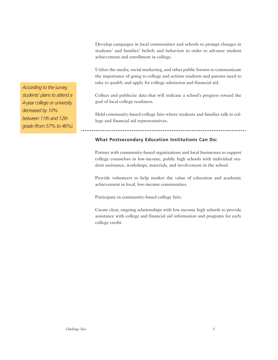Develop campaigns in local communities and schools to prompt changes in students' and families' beliefs and behaviors in order to advance student achievement and enrollment in college.

Utilize the media, social marketing, and other public forums to communicate the importance of going to college and actions students and parents need to take to qualify and apply for college admission and financial aid.

Collect and publicize data that will indicate a school's progress toward the goal of local college readiness.

Hold community-based college fairs where students and families talk to college and financial aid representatives.

#### **What Postsecondary Education Institutions Can Do:**

Partner with community-based organizations and local businesses to support college counselors in low-income, public high schools with individual student assistance, workshops, materials, and involvement in the school.

Provide volunteers to help market the value of education and academic achievement in local, low-income communities.

Participate in community-based college fairs.

Create clear, ongoing relationships with low-income high schools to provide assistance with college and financial aid information and programs for early college credit.

*According to the survey, students' plans to attend a 4-year college or university decreased by 10% between 11th and 12th grade (from 57% to 46%).*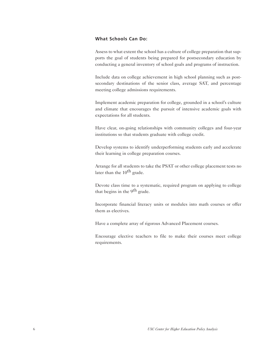#### **What Schools Can Do:**

Assess to what extent the school has a culture of college preparation that supports the goal of students being prepared for postsecondary education by conducting a general inventory of school goals and programs of instruction.

Include data on college achievement in high school planning such as postsecondary destinations of the senior class, average SAT, and percentage meeting college admissions requirements.

Implement academic preparation for college, grounded in a school's culture and climate that encourages the pursuit of intensive academic goals with expectations for all students.

Have clear, on-going relationships with community colleges and four-year institutions so that students graduate with college credit.

Develop systems to identify underperforming students early and accelerate their learning in college preparation courses.

Arrange for all students to take the PSAT or other college placement tests no later than the  $10^{th}$  grade.

Devote class time to a systematic, required program on applying to college that begins in the  $9<sup>th</sup>$  grade.

Incorporate financial literacy units or modules into math courses or offer them as electives.

Have a complete array of rigorous Advanced Placement courses.

Encourage elective teachers to file to make their courses meet college requirements.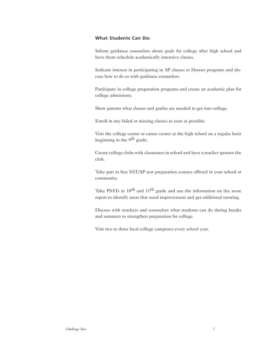#### **What Students Can Do:**

Inform guidance counselors about goals for college after high school and have them schedule academically intensive classes.

Indicate interest in participating in AP classes or Honors programs and discuss how to do so with guidance counselors.

Participate in college preparation programs and create an academic plan for college admissions.

Show parents what classes and grades are needed to get into college.

Enroll in any failed or missing classes as soon as possible.

Visit the college center or career center at the high school on a regular basis beginning in the 9<sup>th</sup> grade.

Create college clubs with classmates in school and have a teacher sponsor the club.

Take part in free SAT/AP test preparation courses offered in your school or community.

Take PSATs in 10<sup>th</sup> and 11<sup>th</sup> grade and use the information on the score report to identify areas that need improvement and get additional tutoring.

Discuss with teachers and counselors what students can do during breaks and summers to strengthen preparation for college.

Visit two to three local college campuses every school year.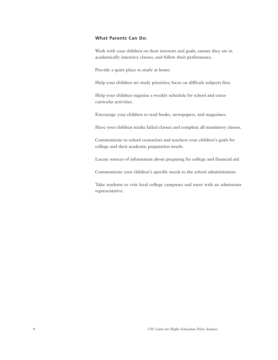#### **What Parents Can Do:**

Work with your children on their interests and goals, ensure they are in academically intensive classes, and follow their performance.

Provide a quiet place to study at home.

Help your children set study priorities; focus on difficult subjects first.

Help your children organize a weekly schedule for school and extracurricular activities.

Encourage your children to read books, newspapers, and magazines.

Have your children retake failed classes and complete all mandatory classes.

Communicate to school counselors and teachers your children's goals for college and their academic preparation needs.

Locate sources of information about preparing for college and financial aid.

Communicate your children's specific needs to the school administration.

Take students to visit local college campuses and meet with an admissions representative.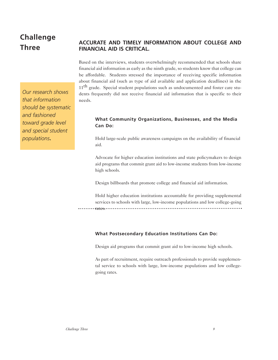## **Challenge Three**

*Our research shows that information should be systematic and fashioned toward grade level and special student populations***.**

#### **ACCURATE AND TIMELY INFORMATION ABOUT COLLEGE AND FINANCIAL AID IS CRITICAL.**

Based on the interviews, students overwhelmingly recommended that schools share financial aid information as early as the ninth grade, so students know that college can be affordable. Students stressed the importance of receiving specific information about financial aid (such as type of aid available and application deadlines) in the 11<sup>th</sup> grade. Special student populations such as undocumented and foster care students frequently did not receive financial aid information that is specific to their needs.

#### **What Community Organizations, Businesses, and the Media Can Do:**

Hold large-scale public awareness campaigns on the availability of financial aid.

Advocate for higher education institutions and state policymakers to design aid programs that commit grant aid to low-income students from low-income high schools.

Design billboards that promote college and financial aid information.

Hold higher education institutions accountable for providing supplemental services to schools with large, low-income populations and low college-going rates.

#### **What Postsecondary Education Institutions Can Do:**

Design aid programs that commit grant aid to low-income high schools.

As part of recruitment, require outreach professionals to provide supplemental service to schools with large, low-income populations and low collegegoing rates.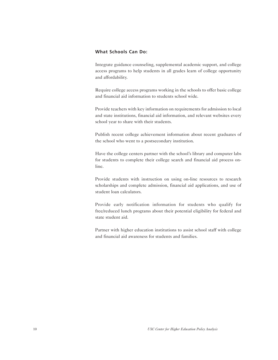#### **What Schools Can Do:**

Integrate guidance counseling, supplemental academic support, and college access programs to help students in all grades learn of college opportunity and affordability.

Require college access programs working in the schools to offer basic college and financial aid information to students school wide.

Provide teachers with key information on requirements for admission to local and state institutions, financial aid information, and relevant websites every school year to share with their students.

Publish recent college achievement information about recent graduates of the school who went to a postsecondary institution.

Have the college centers partner with the school's library and computer labs for students to complete their college search and financial aid process online.

Provide students with instruction on using on-line resources to research scholarships and complete admission, financial aid applications, and use of student loan calculators.

Provide early notification information for students who qualify for free/reduced lunch programs about their potential eligibility for federal and state student aid.

Partner with higher education institutions to assist school staff with college and financial aid awareness for students and families.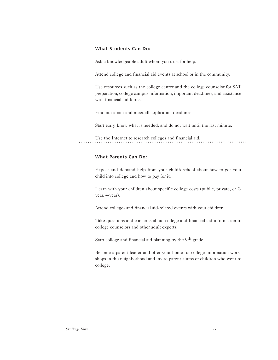#### **What Students Can Do:**

Ask a knowledgeable adult whom you trust for help.

Attend college and financial aid events at school or in the community.

Use resources such as the college center and the college counselor for SAT preparation, college campus information, important deadlines, and assistance with financial aid forms.

Find out about and meet all application deadlines.

Start early, know what is needed, and do not wait until the last minute.

Use the Internet to research colleges and financial aid. . . . . . . . . . . . . .

#### **What Parents Can Do:**

Expect and demand help from your child's school about how to get your child into college and how to pay for it.

Learn with your children about specific college costs (public, private, or 2 year, 4-year).

Attend college- and financial aid-related events with your children.

Take questions and concerns about college and financial aid information to college counselors and other adult experts.

Start college and financial aid planning by the 9<sup>th</sup> grade.

Become a parent leader and offer your home for college information workshops in the neighborhood and invite parent alums of children who went to college.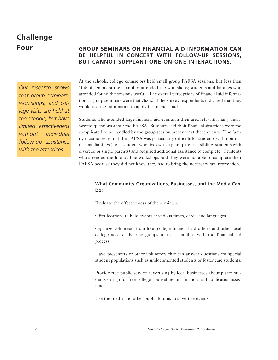## **Challenge**

#### *Our research shows that group seminars, workshops, and college visits are held at the schools, but have limited effectiveness without individual follow-up assistance with the attendees.*

#### **Four GROUP SEMINARS ON FINANCIAL AID INFORMATION CAN BE HELPFUL IN CONCERT WITH FOLLOW-UP SESSIONS, BUT CANNOT SUPPLANT ONE-ON-ONE INTERACTIONS.**

At the schools, college counselors held small group FAFSA sessions, but less than 10% of seniors or their families attended the workshops; students and families who attended found the sessions useful. The overall perceptions of financial aid information at group seminars were that 76.6% of the survey respondents indicated that they would use the information to apply for financial aid.

Students who attended large financial aid events in their area left with many unanswered questions about the FAFSA. Students said their financial situations were too complicated to be handled by the group session presenter at these events. The family income section of the FAFSA was particularly difficult for students with non-traditional families (i.e., a student who lives with a grandparent or sibling, students with divorced or single parents) and required additional assistance to complete. Students who attended the line-by-line workshops said they were not able to complete their FAFSA because they did not know they had to bring the necessary tax information.

#### **What Community Organizations, Businesses, and the Media Can Do:**

Evaluate the effectiveness of the seminars.

Offer locations to hold events at various times, dates, and languages.

Organize volunteers from local college financial aid offices and other local college access advocacy groups to assist families with the financial aid process.

Have presenters or other volunteers that can answer questions for special student populations such as undocumented students or foster care students.

Provide free public service advertising by local businesses about places students can go for free college counseling and financial aid application assistance.

Use the media and other public forums to advertise events.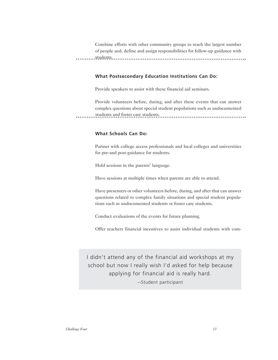Combine efforts with other community groups to reach the largest number of people and, define and assign responsibilities for follow-up guidance with students.

#### **What Postsecondary Education Institutions Can Do:**

Provide speakers to assist with these financial aid seminars.

Provide volunteers before, during, and after these events that can answer complex questions about special student populations such as undocumented students and foster care students.

#### **What Schools Can Do:**

Partner with college access professionals and local colleges and universities for pre-and post-guidance for students.

Hold sessions in the parents' language.

Have sessions at multiple times when parents are able to attend.

Have presenters or other volunteers before, during, and after that can answer questions related to complex family situations and special student populations such as undocumented students or foster care students.

Conduct evaluations of the events for future planning.

Offer teachers financial incentives to assist individual students with com-

I didn't attend any of the financial aid workshops at my school but now I really wish I'd asked for help because applying for financial aid is really hard. --Student participant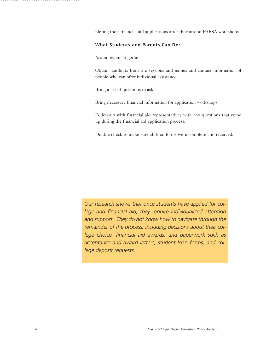pleting their financial aid applications after they attend FAFSA workshops.

#### **What Students and Parents Can Do:**

Attend events together.

Obtain handouts from the sessions and names and contact information of people who can offer individual assistance.

Bring a list of questions to ask.

Bring necessary financial information for application workshops.

Follow-up with financial aid representatives with any questions that come up during the financial aid application process.

Double check to make sure all filed forms were complete and received.

*Our research shows that once students have applied for college and financial aid, they require individualized attention and support. They do not know how to navigate through the remainder of the process, including decisions about their college choice, financial aid awards, and paperwork such as acceptance and award letters, student loan forms, and college deposit requests.*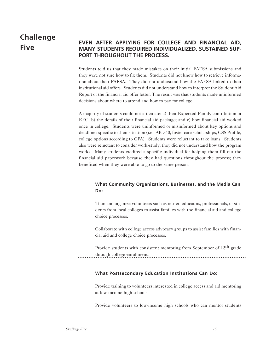## **Challenge Five**

#### **EVEN AFTER APPLYING FOR COLLEGE AND FINANCIAL AID, MANY STUDENTS REQUIRED INDIVIDUALIZED, SUSTAINED SUP-PORT THROUGHOUT THE PROCESS.**

Students told us that they made mistakes on their initial FAFSA submissions and they were not sure how to fix them. Students did not know how to retrieve information about their FAFSA. They did not understand how the FAFSA linked to their institutional aid offers. Students did not understand how to interpret the Student Aid Report or the financial aid offer letter. The result was that students made uninformed decisions about where to attend and how to pay for college.

A majority of students could not articulate: a) their Expected Family contribution or EFC; b) the details of their financial aid package; and c) how financial aid worked once in college. Students were uninformed or misinformed about key options and deadlines specific to their situation (i.e., AB-540, foster care scholarships, CSS Profile, college options according to GPA). Students were reluctant to take loans. Students also were reluctant to consider work-study; they did not understand how the program works. Many students credited a specific individual for helping them fill out the financial aid paperwork because they had questions throughout the process; they benefited when they were able to go to the same person.

#### **What Community Organizations, Businesses, and the Media Can Do:**

Train and organize volunteers such as retired educators, professionals, or students from local colleges to assist families with the financial aid and college choice processes.

Collaborate with college access advocacy groups to assist families with financial aid and college choice processes.

Provide students with consistent mentoring from September of 12<sup>th</sup> grade through college enrollment.

#### **What Postsecondary Education Institutions Can Do:**

Provide training to volunteers interested in college access and aid mentoring at low-income high schools.

Provide volunteers to low-income high schools who can mentor students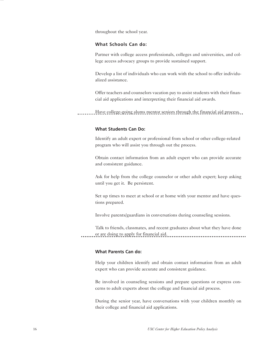throughout the school year.

#### **What Schools Can do:**

Partner with college access professionals, colleges and universities, and college access advocacy groups to provide sustained support.

Develop a list of individuals who can work with the school to offer individualized assistance.

Offer teachers and counselors vacation pay to assist students with their financial aid applications and interpreting their financial aid awards.

Have college-going alums mentor seniors through the financial aid process.

#### **What Students Can Do:**

Identify an adult expert or professional from school or other college-related program who will assist you through out the process.

Obtain contact information from an adult expert who can provide accurate and consistent guidance.

Ask for help from the college counselor or other adult expert; keep asking until you get it. Be persistent.

Set up times to meet at school or at home with your mentor and have questions prepared.

Involve parents/guardians in conversations during counseling sessions.

Talk to friends, classmates, and recent graduates about what they have done or are doing to apply for financial aid.

#### **What Parents Can do:**

Help your children identify and obtain contact information from an adult expert who can provide accurate and consistent guidance.

Be involved in counseling sessions and prepare questions or express concerns to adult experts about the college and financial aid process.

During the senior year, have conversations with your children monthly on their college and financial aid applications.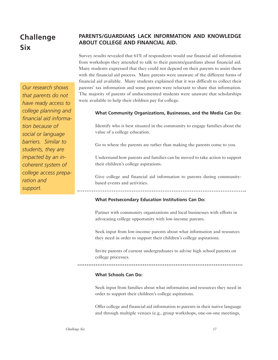## **Challenge Six**

*Our research shows that parents do not have ready access to college planning and financial aid information because of social or language barriers. Similar to students, they are impacted by an incoherent system of college access preparation and support.*

#### **PARENTS/GUARDIANS LACK INFORMATION AND KNOWLEDGE ABOUT COLLEGE AND FINANCIAL AID.**

Survey results revealed that 61% of respondents would use financial aid information from workshops they attended to talk to their parents/guardians about financial aid. Many students expressed that they could not depend on their parents to assist them with the financial aid process. Many parents were unaware of the different forms of financial aid available. Many students explained that it was difficult to collect their parents' tax information and some parents were reluctant to share that information. The majority of parents of undocumented students were unaware that scholarships were available to help their children pay for college.

#### **What Community Organizations, Businesses, and the Media Can Do:**

Identify who is best situated in the community to engage families about the value of a college education.

Go to where the parents are rather than making the parents come to you.

Understand how parents and families can be moved to take action to support their children's college aspirations.

Give college and financial aid information to parents during communitybased events and activities.

#### **What Postsecondary Education Institutions Can Do:**

Partner with community organizations and local businesses with efforts in advocating college opportunity with low-income parents.

Seek input from low-income parents about what information and resources they need in order to support their children's college aspirations.

Invite parents of current undergraduates to advise high school parents on college processes.

#### 

#### **What Schools Can Do:**

Seek input from families about what information and resources they need in order to support their children's college aspirations.

Offer college and financial aid information to parents in their native language and through multiple venues (e.g., group workshops, one-on-one meetings,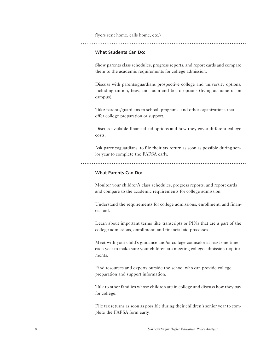flyers sent home, calls home, etc.)

#### **What Students Can Do:**

Show parents class schedules, progress reports, and report cards and compare them to the academic requirements for college admission.

Discuss with parents/guardians prospective college and university options, including tuition, fees, and room and board options (living at home or on campus).

Take parents/guardians to school, programs, and other organizations that offer college preparation or support.

Discuss available financial aid options and how they cover different college costs.

Ask parents/guardians to file their tax return as soon as possible during senior year to complete the FAFSA early.

#### **What Parents Can Do:**

Monitor your children's class schedules, progress reports, and report cards and compare to the academic requirements for college admission.

Understand the requirements for college admissions, enrollment, and financial aid.

Learn about important terms like transcripts or PINs that are a part of the college admissions, enrollment, and financial aid processes.

Meet with your child's guidance and/or college counselor at least one time each year to make sure your children are meeting college admission requirements.

Find resources and experts outside the school who can provide college preparation and support information.

Talk to other families whose children are in college and discuss how they pay for college.

File tax returns as soon as possible during their children's senior year to complete the FAFSA form early.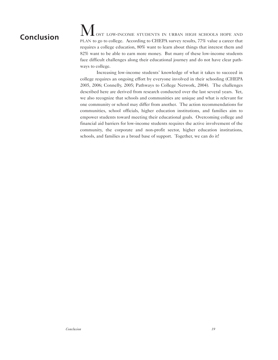## **Conclusion**

OST LOW-INCOME STUDENTS IN URBAN HIGH SCHOOLS HOPE AND PLAN to go to college. According to CHEPA survey results, 77% value a career that requires a college education, 80% want to learn about things that interest them and 82% want to be able to earn more money. But many of these low-income students face difficult challenges along their educational journey and do not have clear pathways to college.

Increasing low-income students' knowledge of what it takes to succeed in college requires an ongoing effort by everyone involved in their schooling (CHEPA 2005, 2006; Connelly, 2005; Pathways to College Network, 2004). The challenges described here are derived from research conducted over the last several years. Yet, we also recognize that schools and communities are unique and what is relevant for one community or school may differ from another. The action recommendations for communities, school officials, higher education institutions, and families aim to empower students toward meeting their educational goals. Overcoming college and financial aid barriers for low-income students requires the active involvement of the community, the corporate and non-profit sector, higher education institutions, schools, and families as a broad base of support. Together, we can do it!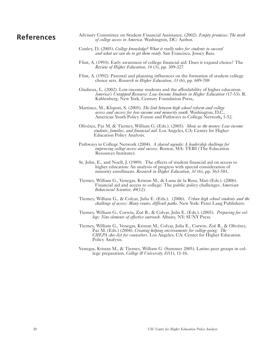### **References**

- Advisory Committee on Student Financial Assistance. (2002). *Empty promises: The myth of college access in America.* Washington, DC: Author.
- Conley, D. (2005). *College knowledge? What it really takes for students to succeed and what we can do to get them ready.* San Francisco, Jossey Bass.
- Flint, A. (1993). Early awareness of college financial aid: Does it expand choice? The *Review of Higher Education, 16* (3), pp. 309-327
- Flint, A. (1992). Parental and planning influences on the formation of student college choice sets. *Research in Higher Education*, *33* (6), pp. 689-708
- Gladieux, L. (2002). Low-income students and the affordability of higher education. *America's Untapped Resource: Low-Income Students in Higher Education (*17-53). R. Kahlenberg. New York, Century Foundation Press.
- Martinez, M., Klopott, S. (2005). *The link between high school reform and college access and success for low-income and minority youth.* Washington, D.C., American Youth Policy Forum and Pathways to College Network, 1-52.
- Olivérez, Paz M. & Tierney, William G. (Eds.). (2005). *Show us the money: Low-income students, families, and financial aid.* Los Angeles, CA: Center for Higher Education Policy Analysis.
- Pathways to College Network (2004). *A shared agenda: A leadership challenge for improving college access and success.* Boston, MA: TERI (The Education Resources Institute).
- St. John, E., and Noell, J. (1989). The effects of student financial aid on access to higher education: An analysis of progress with special consideration of minority enrollment. *Research in Higher Education*, *30* (6), pp. 563-581.
- Tierney, William G., Venegas, Kristan M., & Luna de la Rosa, Mari (Eds.). (2006). Financial aid and access to college: The public policy challenges. *American Behavioral Scientist, 49*(12).
- Tierney, William G., & Colyar, Julia E. (Eds.). (2006). *Urban high school students and the challenge of access: Many routes, difficult paths.* New York: Peter Lang Publishers.
- Tierney, William G., Corwin, Zoë B., & Colyar, Julia E. (Eds.). (2005). *Preparing for college: Nine elements of effective outreach.* Albany, NY: SUNY Press.
- Tierney, William G., Venegas, Kristan M., Colyar, Julia E., Corwin, Zoë B., & Olivérez, Paz M. (Eds.) (2004). *Creating helping environments for college-going: The CHEPA chec-list for counselors.* Los Angeles, CA: Center for Higher Education Policy Analysis.
- Venegas, Kristan M., & Tierney, William G. (Summer 2005). Latino peer groups in college preparation. *College & University, 81*(1), 11-16.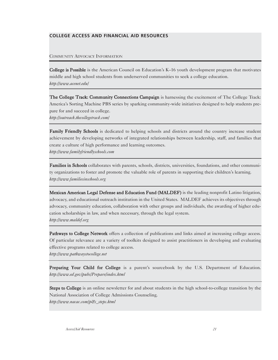COMMUNITY ADVOCACY INFORMATION

College is Possible is the American Council on Education's K–16 youth development program that motivates middle and high school students from underserved communities to seek a college education. *http://www.acenet.edu/*

The College Track: Community Connections Campaign is harnessing the excitement of The College Track: America's Sorting Machine PBS series by sparking community-wide initiatives designed to help students prepare for and succeed in college. *http://outreach.thecollegetrack.com/*

Family Friendly Schools is dedicated to helping schools and districts around the country increase student achievement by developing networks of integrated relationships between leadership, staff, and families that create a culture of high performance and learning outcomes. *http://www.familyfriendlyschools.com*

Families in Schools collaborates with parents, schools, districts, universities, foundations, and other community organizations to foster and promote the valuable role of parents in supporting their children's learning. *http://www.familiesinschools.org*

Mexican American Legal Defense and Education Fund (MALDEF) is the leading nonprofit Latino litigation, advocacy, and educational outreach institution in the United States. MALDEF achieves its objectives through advocacy, community education, collaboration with other groups and individuals, the awarding of higher education scholarships in law, and when necessary, through the legal system. *http://www.maldef.org*

Pathways to College Network offers a collection of publications and links aimed at increasing college access. Of particular relevance are a variety of toolkits designed to assist practitioners in developing and evaluating effective programs related to college access. *http://www.pathwaystocollege.net*

Preparing Your Child for College is a parent's sourcebook by the U.S. Department of Education. *http://www.ed.gov/pubs/Prepare/index.html*

Steps to College is an online newsletter for and about students in the high school-to-college transition by the National Association of College Admissions Counseling. *http://www.nacac.com/p&s\_steps.html*

*Access/Aid Resources 21*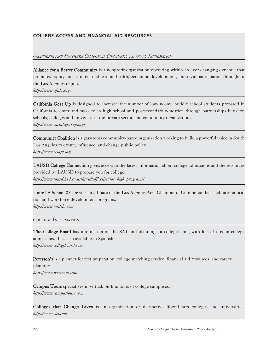#### *CALIFORNIA AND SOUTHERN CALIFORNIA COMMUNITY ADVOCACY INFORMATION*

Alliance for a Better Community is a nonprofit organization operating within an ever changing dynamic that promotes equity for Latinos in education, health, economic development, and civic participation throughout the Los Angeles region.

*http://www.afabc.org*

California Gear Up is designed to increase the number of low-income middle school students prepared in California to enter and succeed in high school and postsecondary education through partnerships between schools, colleges and universities, the private sector, and community organizations. *http://www.castategearup.org/*

Community Coalition is a grassroots community-based organization working to build a powerful voice in South Los Angeles to create, influence, and change public policy. *http://www.ccsapt.org*

LAUSD College Connection gives access to the latest information about college admissions and the resources provided by LAUSD to prepare you for college. *http://www.lausd.k12.ca.us/lausd/offices/senior\_high\_programs/*

UniteLA School 2 Career is an affiliate of the Los Angeles Area Chamber of Commerce that facilitates education and workforce development programs. *http://www.unitela.com*

COLLEGE INFORMATION

The College Board has information on the SAT and planning for college along with lots of tips on college admissions. It is also available in Spanish. *http://www.collegeboard.com*

Peterson's is a planner for test preparation, college matching service, financial aid resources, and career planning. *http://www.petersons.com*

Campus Tours specializes in virtual, on-line tours of college campuses. *http://www.campustours.com*

Colleges that Change Lives is an organization of distinctive liberal arts colleges and universities. *http://www.ctcl.com*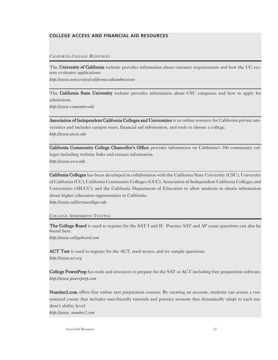*CALIFORNIA COLLEGE RESOURCES*

The University of California website provides information about entrance requirements and how the UC system evaluates applications.

*http://www.universityofcalifornia.edu/admissions*

The California State University website provides information about CSU campuses and how to apply for admissions.

*http://www.csumentor.edu*

Association of Independent California Colleges and Universities is an online resource for California private universities and includes campus tours, financial aid information, and tools to choose a college. *http://www.aiccu.edu*

California Community College Chancellor's Office provides information on California's 106 community colleges including website links and contact information. *http://www.cccco.edu*

California Colleges has been developed in collaboration with the California State University (CSU), University of California (UC), California Community Colleges (CCC), Association of Independent California Colleges and Universities (AICCU), and the California Department of Education to allow students to obtain information about higher education opportunities in California. *http://www.californiacolleges.edu*

#### COLLEGE ADMISSIONS TESTING

The College Board is used to register for the SAT I and II. Practice SAT and AP exam questions can also be found here.

*http://www.collegeboard.com*

ACT Test is used to register for the ACT, send scores, and try sample questions.

*http://www.act.org*

College PowerPrep has tools and resources to prepare for the SAT or ACT including free preparation software. *http://www.powerprep.com* 

Number2.com offers free online test preparation courses. By creating an account, students can access a customized course that includes user-friendly tutorials and practice sessions that dynamically adapt to each student's ability level.

*http://www. number2.com*

*Access/Aid Resources 23*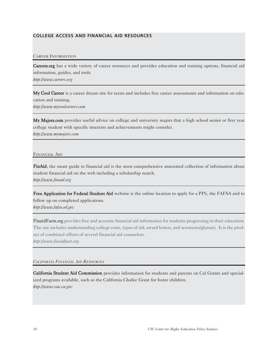#### CAREER INFORMATION

Careers.org has a wide variety of career resources and provides education and training options, financial aid information, guides, and tools.

*http://www.careers.org*

My Cool Career is a career dream site for teens and includes free career assessments and information on education and training. *http://www.mycoolcareers.com*

My Majors.com provides useful advice on college and university majors that a high school senior or first year college student with specific interests and achievements might consider. *http://www.mymajors.com*

#### FINANCIAL AID

FinAid, the smart guide to financial aid is the most comprehensive annotated collection of information about student financial aid on the web including a scholarship search. *http://www.finaid.org* 

Free Application for Federal Student Aid website is the online location to apply for a PIN, the FAFSA and to follow up on completed applications.

*http://www.fafsa.ed.gov*

FinaidFacts.org provides free and accurate financial aid information for students progressing in their education. The site includes understanding college costs, types of aid, award letters, and acronyms/glossary. It is the product of combined efforts of several financial aid counselors. *http://www.finaidfacts.org*

#### *CALIFORNIA FINANCIAL AID RESOURCES*

California Student Aid Commission provides information for students and parents on Cal Grants and specialized programs available, such as the California Chafee Grant for foster children. *http://www.csac.ca.gov*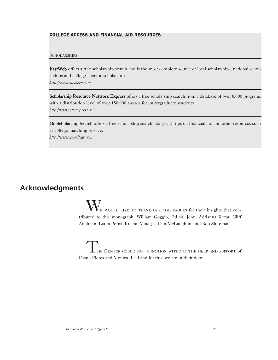#### **SCHOLARSHIPS**

FastWeb offers a free scholarship search and is the most complete source of local scholarships, national scholarships and college-specific scholarships. *http://www.fastweb.com*

Scholarship Resource Network Express offers a free scholarship search from a database of over 8,000 programs with a distribution level of over 150,000 awards for undergraduate students. *http://www.srnexpress.com*

Go Scholarship Search offers a free scholarship search along with tips on financial aid and other resources such as college matching service. *http://www.gocollege.com*

### **Acknowledgments**

WE WOULD LIKE TO THANK OUR COLLEAGUES for their insights that contributed to this monograph: William Goggin, Ed St. John, Adrianna Kezar, Cliff Adelman, Laura Perna, Kristan Venegas, Dan McLaughlin, and Bob Shireman.

THE CENTER COULD NOT FUNCTION WITHOUT THE HELP AND SUPPORT of Diane Flores and Monica Raad and for this, we are in their debt.